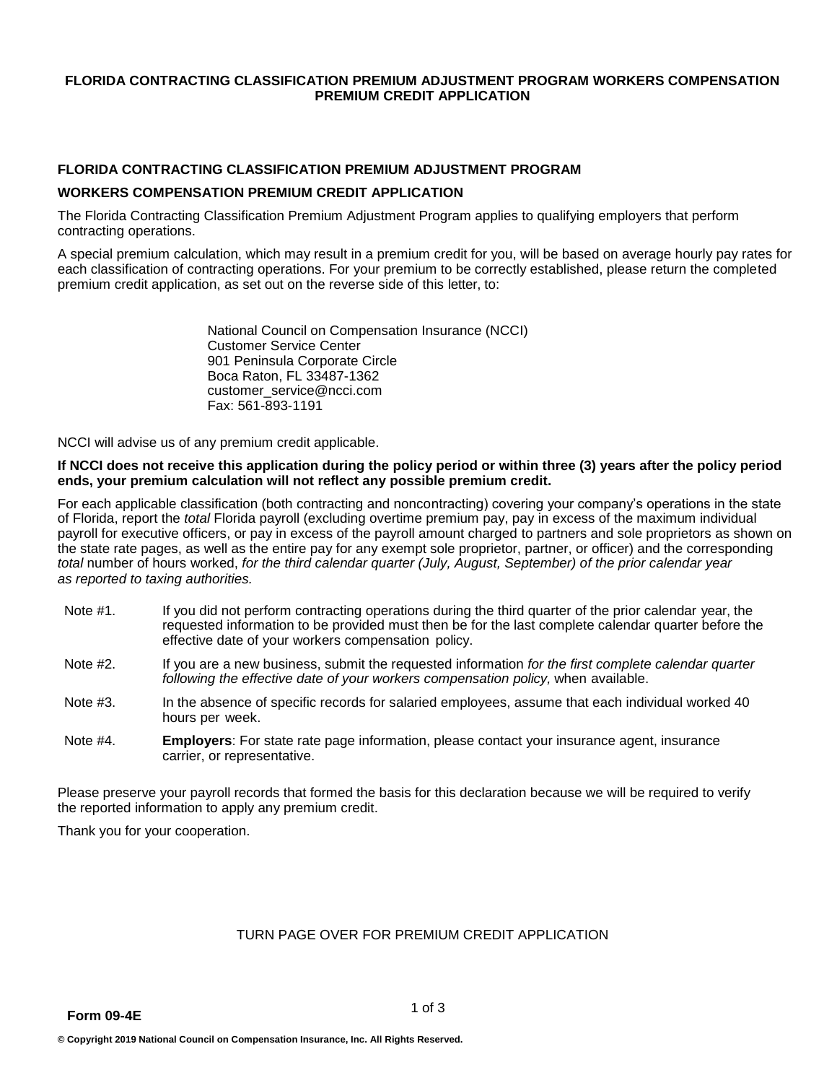#### **FLORIDA CONTRACTING CLASSIFICATION PREMIUM ADJUSTMENT PROGRAM WORKERS COMPENSATION PREMIUM CREDIT APPLICATION**

## **FLORIDA CONTRACTING CLASSIFICATION PREMIUM ADJUSTMENT PROGRAM**

### **WORKERS COMPENSATION PREMIUM CREDIT APPLICATION**

The Florida Contracting Classification Premium Adjustment Program applies to qualifying employers that perform contracting operations.

A special premium calculation, which may result in a premium credit for you, will be based on average hourly pay rates for each classification of contracting operations. For your premium to be correctly established, please return the completed premium credit application, as set out on the reverse side of this letter, to:

> National Council on Compensation Insurance (NCCI) Customer Service Center 901 Peninsula Corporate Circle Boca Raton, FL 33487-1362 [customer\\_service@ncci.com](mailto:customer_service@ncci.com) Fax: 561-893-1191

NCCI will advise us of any premium credit applicable.

#### **If NCCI does not receive this application during the policy period or within three (3) years after the policy period ends, your premium calculation will not reflect any possible premium credit.**

For each applicable classification (both contracting and noncontracting) covering your company's operations in the state of Florida, report the *total* Florida payroll (excluding overtime premium pay, pay in excess of the maximum individual payroll for executive officers, or pay in excess of the payroll amount charged to partners and sole proprietors as shown on the state rate pages, as well as the entire pay for any exempt sole proprietor, partner, or officer) and the corresponding *total* number of hours worked, for the third calendar quarter (July, August, September) of the prior calendar year *as reported to taxing authorities.* 

- Note #1. If you did not perform contracting operations during the third quarter of the prior calendar year, the requested information to be provided must then be for the last complete calendar quarter before the effective date of your workers compensation policy.
- Note #2. If you are a new business, submit the requested information *for the first complete calendar quarter*  following the effective date of your workers compensation policy, when available.
- Note #3. In the absence of specific records for salaried employees, assume that each individual worked 40 hours per week.
- Note #4. **Employers**: For state rate page information, please contact your insurance agent, insurance carrier, or representative.

Please preserve your payroll records that formed the basis for this declaration because we will be required to verify the reported information to apply any premium credit.

Thank you for your cooperation.

# TURN PAGE OVER FOR PREMIUM CREDIT APPLICATION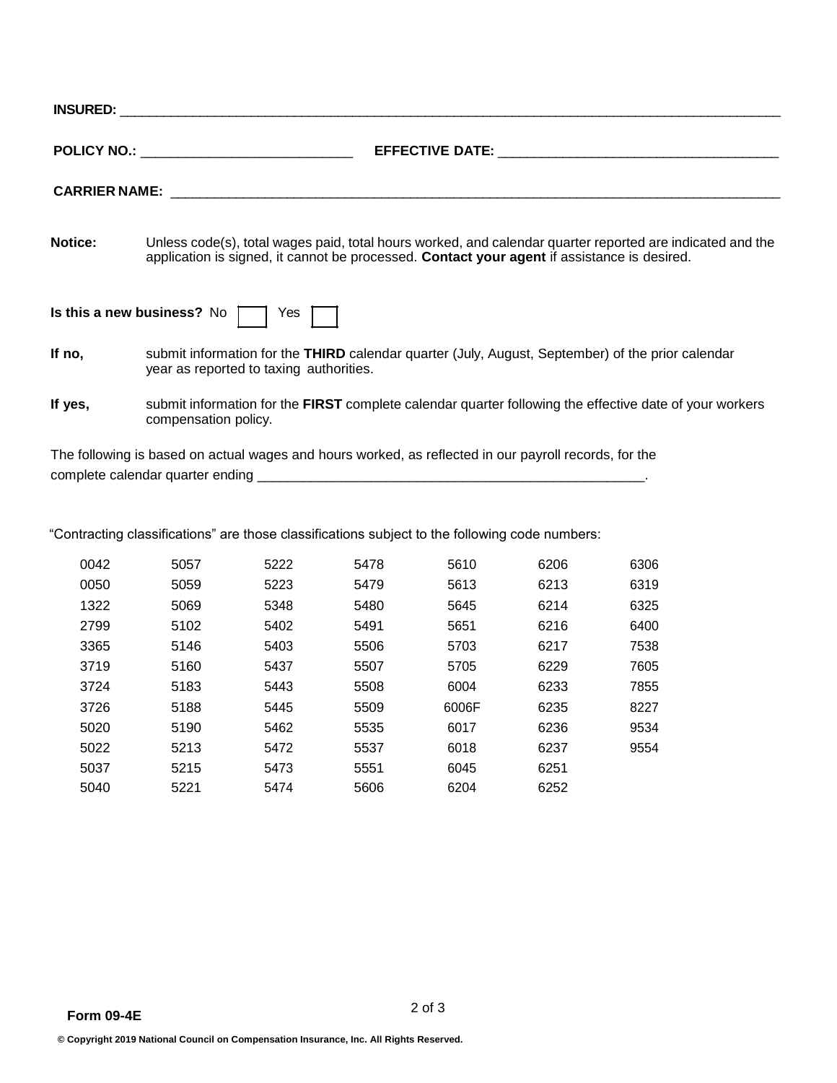|                                          | POLICY NO.: _____________________________                                                                                                                                                                                     |  |  |  |  |  |
|------------------------------------------|-------------------------------------------------------------------------------------------------------------------------------------------------------------------------------------------------------------------------------|--|--|--|--|--|
|                                          | CARRIER NAME: The contract of the contract of the contract of the contract of the contract of the contract of the contract of the contract of the contract of the contract of the contract of the contract of the contract of |  |  |  |  |  |
| <b>Notice:</b>                           | Unless code(s), total wages paid, total hours worked, and calendar quarter reported are indicated and the<br>application is signed, it cannot be processed. Contact your agent if assistance is desired.                      |  |  |  |  |  |
| Is this a new business? No $\Box$<br>Yes |                                                                                                                                                                                                                               |  |  |  |  |  |
| If no,                                   | submit information for the THIRD calendar quarter (July, August, September) of the prior calendar<br>year as reported to taxing authorities.                                                                                  |  |  |  |  |  |
| If yes,                                  | submit information for the FIRST complete calendar quarter following the effective date of your workers<br>compensation policy.                                                                                               |  |  |  |  |  |

The following is based on actual wages and hours worked, as reflected in our payroll records, for the complete calendar quarter ending \_\_\_\_\_\_\_\_\_\_\_\_\_\_\_\_\_\_\_\_\_\_\_\_\_\_\_\_\_\_\_\_\_\_\_\_\_\_\_\_\_\_\_\_\_\_\_\_\_\_\_.

"Contracting classifications" are those classifications subject to the following code numbers:

| 0042 | 5057 | 5222 | 5478 | 5610  | 6206 | 6306 |
|------|------|------|------|-------|------|------|
| 0050 | 5059 | 5223 | 5479 | 5613  | 6213 | 6319 |
| 1322 | 5069 | 5348 | 5480 | 5645  | 6214 | 6325 |
| 2799 | 5102 | 5402 | 5491 | 5651  | 6216 | 6400 |
| 3365 | 5146 | 5403 | 5506 | 5703  | 6217 | 7538 |
| 3719 | 5160 | 5437 | 5507 | 5705  | 6229 | 7605 |
| 3724 | 5183 | 5443 | 5508 | 6004  | 6233 | 7855 |
| 3726 | 5188 | 5445 | 5509 | 6006F | 6235 | 8227 |
| 5020 | 5190 | 5462 | 5535 | 6017  | 6236 | 9534 |
| 5022 | 5213 | 5472 | 5537 | 6018  | 6237 | 9554 |
| 5037 | 5215 | 5473 | 5551 | 6045  | 6251 |      |
| 5040 | 5221 | 5474 | 5606 | 6204  | 6252 |      |